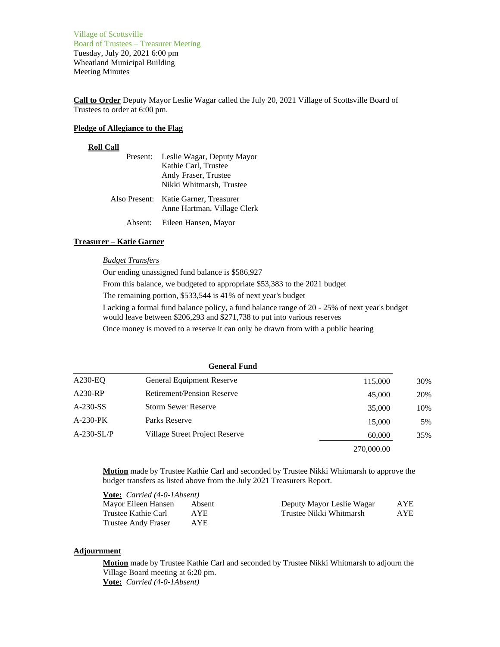Village of Scottsville Board of Trustees – Treasurer Meeting Tuesday, July 20, 2021 6:00 pm Wheatland Municipal Building Meeting Minutes

**Call to Order** Deputy Mayor Leslie Wagar called the July 20, 2021 Village of Scottsville Board of Trustees to order at 6:00 pm.

#### **Pledge of Allegiance to the Flag**

# **Roll Call**

| Present: | Leslie Wagar, Deputy Mayor                                           |
|----------|----------------------------------------------------------------------|
|          | Kathie Carl, Trustee                                                 |
|          | Andy Fraser, Trustee                                                 |
|          | Nikki Whitmarsh, Trustee                                             |
|          | Also Present: Katie Garner, Treasurer<br>Anne Hartman, Village Clerk |

Absent: Eileen Hansen, Mayor

# **Treasurer – Katie Garner**

#### *Budget Transfers*

Our ending unassigned fund balance is \$586,927 From this balance, we budgeted to appropriate \$53,383 to the 2021 budget The remaining portion, \$533,544 is 41% of next year's budget Lacking a formal fund balance policy, a fund balance range of 20 - 25% of next year's budget would leave between \$206,293 and \$271,738 to put into various reserves Once money is moved to a reserve it can only be drawn from with a public hearing

| <b>General Fund</b> |                                                                                                                                                 |     |
|---------------------|-------------------------------------------------------------------------------------------------------------------------------------------------|-----|
|                     | 115,000                                                                                                                                         | 30% |
|                     | 45,000                                                                                                                                          | 20% |
|                     | 35,000                                                                                                                                          | 10% |
|                     | 15,000                                                                                                                                          | 5%  |
|                     | 60,000                                                                                                                                          | 35% |
|                     | 270,000.00                                                                                                                                      |     |
|                     | General Equipment Reserve<br><b>Retirement/Pension Reserve</b><br><b>Storm Sewer Reserve</b><br>Parks Reserve<br>Village Street Project Reserve |     |

**Motion** made by Trustee Kathie Carl and seconded by Trustee Nikki Whitmarsh to approve the budget transfers as listed above from the July 2021 Treasurers Report.

| <b>Vote:</b> <i>Carried</i> (4-0-1Absent) |        |                           |      |
|-------------------------------------------|--------|---------------------------|------|
| Mayor Eileen Hansen                       | Absent | Deputy Mayor Leslie Wagar | AYE  |
| Trustee Kathie Carl                       | A YE.  | Trustee Nikki Whitmarsh   | AYE. |
| <b>Trustee Andy Fraser</b>                | AYE.   |                           |      |

# **Adjournment**

**Motion** made by Trustee Kathie Carl and seconded by Trustee Nikki Whitmarsh to adjourn the Village Board meeting at 6:20 pm. **Vote:** *Carried (4-0-1Absent)*